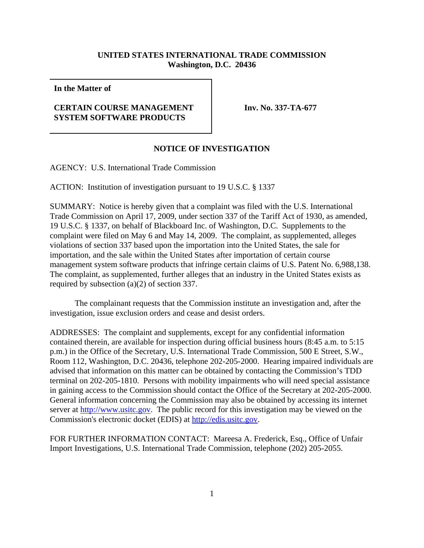## **UNITED STATES INTERNATIONAL TRADE COMMISSION Washington, D.C. 20436**

**In the Matter of**

## **CERTAIN COURSE MANAGEMENT SYSTEM SOFTWARE PRODUCTS**

**Inv. No. 337-TA-677**

## **NOTICE OF INVESTIGATION**

AGENCY: U.S. International Trade Commission

ACTION: Institution of investigation pursuant to 19 U.S.C. § 1337

SUMMARY: Notice is hereby given that a complaint was filed with the U.S. International Trade Commission on April 17, 2009, under section 337 of the Tariff Act of 1930, as amended, 19 U.S.C. § 1337, on behalf of Blackboard Inc. of Washington, D.C. Supplements to the complaint were filed on May 6 and May 14, 2009. The complaint, as supplemented, alleges violations of section 337 based upon the importation into the United States, the sale for importation, and the sale within the United States after importation of certain course management system software products that infringe certain claims of U.S. Patent No. 6,988,138. The complaint, as supplemented, further alleges that an industry in the United States exists as required by subsection (a)(2) of section 337.

The complainant requests that the Commission institute an investigation and, after the investigation, issue exclusion orders and cease and desist orders.

ADDRESSES: The complaint and supplements, except for any confidential information contained therein, are available for inspection during official business hours (8:45 a.m. to 5:15 p.m.) in the Office of the Secretary, U.S. International Trade Commission, 500 E Street, S.W., Room 112, Washington, D.C. 20436, telephone 202-205-2000. Hearing impaired individuals are advised that information on this matter can be obtained by contacting the Commission's TDD terminal on 202-205-1810. Persons with mobility impairments who will need special assistance in gaining access to the Commission should contact the Office of the Secretary at 202-205-2000. General information concerning the Commission may also be obtained by accessing its internet server at http://www.usitc.gov. The public record for this investigation may be viewed on the Commission's electronic docket (EDIS) at http://edis.usitc.gov.

FOR FURTHER INFORMATION CONTACT: Mareesa A. Frederick, Esq., Office of Unfair Import Investigations, U.S. International Trade Commission, telephone (202) 205-2055.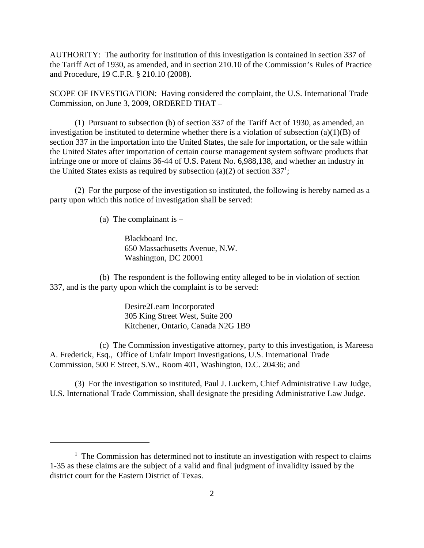AUTHORITY: The authority for institution of this investigation is contained in section 337 of the Tariff Act of 1930, as amended, and in section 210.10 of the Commission's Rules of Practice and Procedure, 19 C.F.R. § 210.10 (2008).

SCOPE OF INVESTIGATION: Having considered the complaint, the U.S. International Trade Commission, on June 3, 2009, ORDERED THAT –

(1) Pursuant to subsection (b) of section 337 of the Tariff Act of 1930, as amended, an investigation be instituted to determine whether there is a violation of subsection  $(a)(1)(B)$  of section 337 in the importation into the United States, the sale for importation, or the sale within the United States after importation of certain course management system software products that infringe one or more of claims 36-44 of U.S. Patent No. 6,988,138, and whether an industry in the United States exists as required by subsection  $(a)(2)$  of section 337<sup>1</sup>;

(2) For the purpose of the investigation so instituted, the following is hereby named as a party upon which this notice of investigation shall be served:

(a) The complainant is  $-$ 

Blackboard Inc. 650 Massachusetts Avenue, N.W. Washington, DC 20001

(b) The respondent is the following entity alleged to be in violation of section 337, and is the party upon which the complaint is to be served:

> Desire2Learn Incorporated 305 King Street West, Suite 200 Kitchener, Ontario, Canada N2G 1B9

(c) The Commission investigative attorney, party to this investigation, is Mareesa A. Frederick, Esq., Office of Unfair Import Investigations, U.S. International Trade Commission, 500 E Street, S.W., Room 401, Washington, D.C. 20436; and

(3) For the investigation so instituted, Paul J. Luckern, Chief Administrative Law Judge, U.S. International Trade Commission, shall designate the presiding Administrative Law Judge.

<sup>&</sup>lt;sup>1</sup> The Commission has determined not to institute an investigation with respect to claims 1-35 as these claims are the subject of a valid and final judgment of invalidity issued by the district court for the Eastern District of Texas.